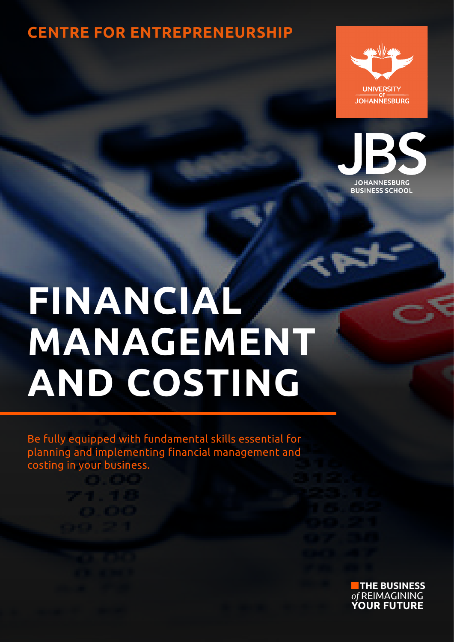### **CENTRE FOR ENTREPRENEURSHIP**





# **FINANCIAL MANAGEMENT AND COSTING**

Be fully equipped with fundamental skills essential for planning and implementing financial management and costing in your business.

**THE BUSINESS** *of* REIMAGINING **YOUR FUTURE**